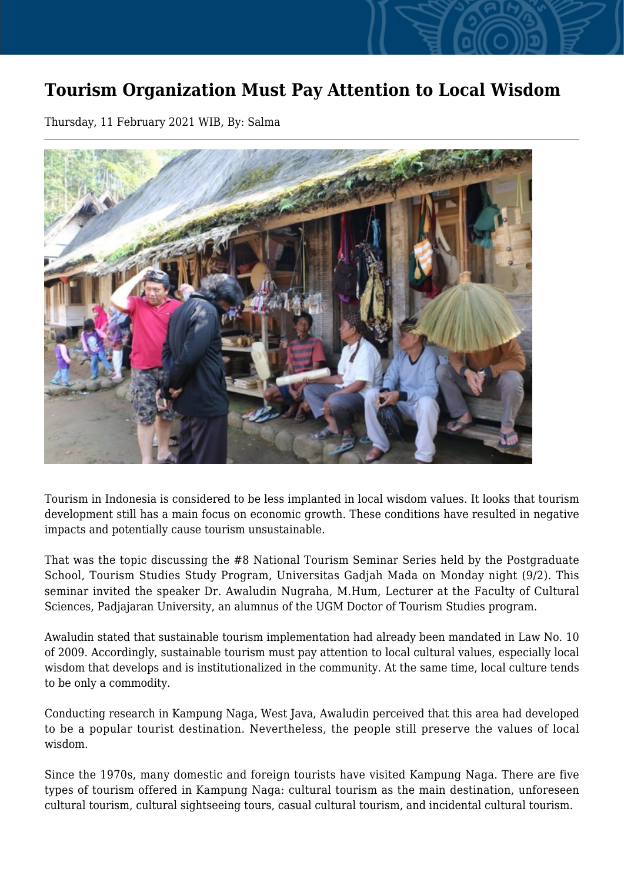## **Tourism Organization Must Pay Attention to Local Wisdom**

Thursday, 11 February 2021 WIB, By: Salma



Tourism in Indonesia is considered to be less implanted in local wisdom values. It looks that tourism development still has a main focus on economic growth. These conditions have resulted in negative impacts and potentially cause tourism unsustainable.

That was the topic discussing the #8 National Tourism Seminar Series held by the Postgraduate School, Tourism Studies Study Program, Universitas Gadjah Mada on Monday night (9/2). This seminar invited the speaker Dr. Awaludin Nugraha, M.Hum, Lecturer at the Faculty of Cultural Sciences, Padjajaran University, an alumnus of the UGM Doctor of Tourism Studies program.

Awaludin stated that sustainable tourism implementation had already been mandated in Law No. 10 of 2009. Accordingly, sustainable tourism must pay attention to local cultural values, especially local wisdom that develops and is institutionalized in the community. At the same time, local culture tends to be only a commodity.

Conducting research in Kampung Naga, West Java, Awaludin perceived that this area had developed to be a popular tourist destination. Nevertheless, the people still preserve the values of local wisdom.

Since the 1970s, many domestic and foreign tourists have visited Kampung Naga. There are five types of tourism offered in Kampung Naga: cultural tourism as the main destination, unforeseen cultural tourism, cultural sightseeing tours, casual cultural tourism, and incidental cultural tourism.